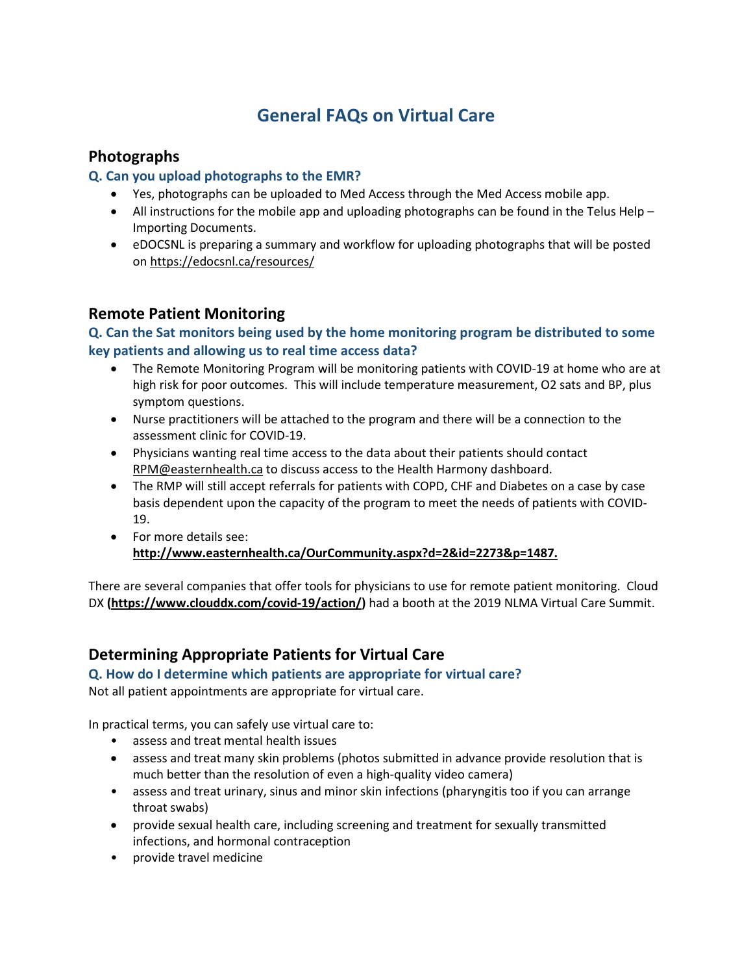# **General FAQs on Virtual Care**

# **Photographs**

### **Q. Can you upload photographs to the EMR?**

- Yes, photographs can be uploaded to Med Access through the Med Access mobile app.
- All instructions for the mobile app and uploading photographs can be found in the Telus Help Importing Documents.
- eDOCSNL is preparing a summary and workflow for uploading photographs that will be posted on<https://edocsnl.ca/resources/>

## **Remote Patient Monitoring**

#### **Q. Can the Sat monitors being used by the home monitoring program be distributed to some key patients and allowing us to real time access data?**

- The Remote Monitoring Program will be monitoring patients with COVID-19 at home who are at high risk for poor outcomes. This will include temperature measurement, O2 sats and BP, plus symptom questions.
- Nurse practitioners will be attached to the program and there will be a connection to the assessment clinic for COVID-19.
- Physicians wanting real time access to the data about their patients should contact [RPM@easternhealth.ca](mailto:RPM@easternhealth.ca) to discuss access to the Health Harmony dashboard.
- The RMP will still accept referrals for patients with COPD, CHF and Diabetes on a case by case basis dependent upon the capacity of the program to meet the needs of patients with COVID-19.
- For more details see: **[http://www.easternhealth.ca/OurCommunity.aspx?d=2&id=2273&p=1487.](http://www.easternhealth.ca/OurCommunity.aspx?d=2&id=2273&p=1487)**

There are several companies that offer tools for physicians to use for remote patient monitoring. Cloud DX **[\(https://www.clouddx.com/covid-19/action/\)](https://www.clouddx.com/covid-19/action/)** had a booth at the 2019 NLMA Virtual Care Summit.

# **Determining Appropriate Patients for Virtual Care**

# **Q. How do I determine which patients are appropriate for virtual care?**

Not all patient appointments are appropriate for virtual care.

In practical terms, you can safely use virtual care to:

- assess and treat mental health issues
- assess and treat many skin problems (photos submitted in advance provide resolution that is much better than the resolution of even a high-quality video camera)
- assess and treat urinary, sinus and minor skin infections (pharyngitis too if you can arrange throat swabs)
- provide sexual health care, including screening and treatment for sexually transmitted infections, and hormonal contraception
- provide travel medicine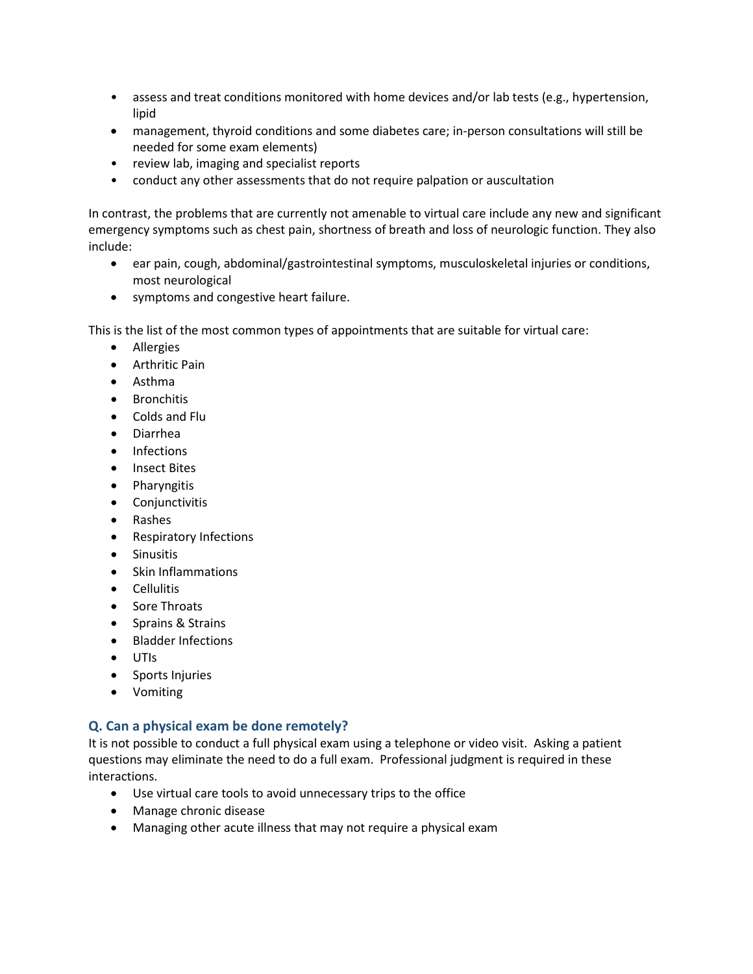- assess and treat conditions monitored with home devices and/or lab tests (e.g., hypertension, lipid
- management, thyroid conditions and some diabetes care; in-person consultations will still be needed for some exam elements)
- review lab, imaging and specialist reports
- conduct any other assessments that do not require palpation or auscultation

In contrast, the problems that are currently not amenable to virtual care include any new and significant emergency symptoms such as chest pain, shortness of breath and loss of neurologic function. They also include:

- ear pain, cough, abdominal/gastrointestinal symptoms, musculoskeletal injuries or conditions, most neurological
- symptoms and congestive heart failure.

This is the list of the most common types of appointments that are suitable for virtual care:

- Allergies
- Arthritic Pain
- Asthma
- Bronchitis
- Colds and Flu
- Diarrhea
- Infections
- Insect Bites
- Pharyngitis
- Conjunctivitis
- Rashes
- Respiratory Infections
- Sinusitis
- Skin Inflammations
- Cellulitis
- Sore Throats
- Sprains & Strains
- Bladder Infections
- UTIs
- Sports Injuries
- Vomiting

#### **Q. Can a physical exam be done remotely?**

It is not possible to conduct a full physical exam using a telephone or video visit. Asking a patient questions may eliminate the need to do a full exam. Professional judgment is required in these interactions.

- Use virtual care tools to avoid unnecessary trips to the office
- Manage chronic disease
- Managing other acute illness that may not require a physical exam